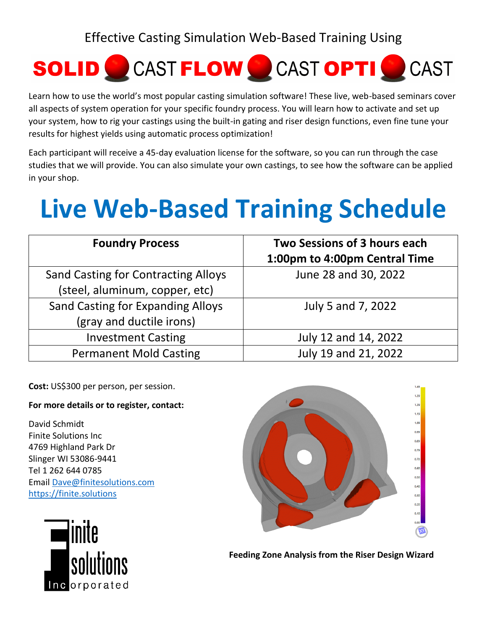Effective Casting Simulation Web-Based Training Using



Learn how to use the world's most popular casting simulation software! These live, web-based seminars cover all aspects of system operation for your specific foundry process. You will learn how to activate and set up your system, how to rig your castings using the built-in gating and riser design functions, even fine tune your results for highest yields using automatic process optimization!

Each participant will receive a 45-day evaluation license for the software, so you can run through the case studies that we will provide. You can also simulate your own castings, to see how the software can be applied in your shop.

## **Live Web-Based Training Schedule**

| <b>Foundry Process</b>                     | Two Sessions of 3 hours each<br>1:00pm to 4:00pm Central Time |
|--------------------------------------------|---------------------------------------------------------------|
| <b>Sand Casting for Contracting Alloys</b> | June 28 and 30, 2022                                          |
| (steel, aluminum, copper, etc)             |                                                               |
| <b>Sand Casting for Expanding Alloys</b>   | July 5 and 7, 2022                                            |
| (gray and ductile irons)                   |                                                               |
| <b>Investment Casting</b>                  | July 12 and 14, 2022                                          |
| <b>Permanent Mold Casting</b>              | July 19 and 21, 2022                                          |

**Cost:** US\$300 per person, per session.

## **For more details or to register, contact:**

David Schmidt Finite Solutions Inc 4769 Highland Park Dr Slinger WI 53086-9441 Tel 1 262 644 0785 Email [Dave@finitesolutions.com](mailto:Dave@finitesolutions.com) [https://finite.solutions](https://finite.solutions/)





**Feeding Zone Analysis from the Riser Design Wizard**